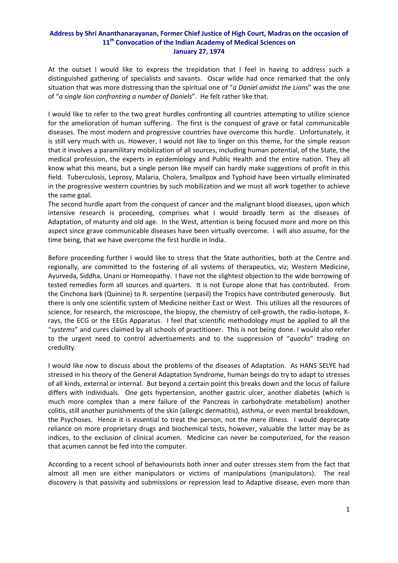## **Address by Shri Ananthanarayanan, Former Chief Justice of High Court, Madras on the occasion of 11th Convocation of the Indian Academy of Medical Sciences on January 27, 1974**

At the outset I would like to express the trepidation that I feel in having to address such a distinguished gathering of specialists and savants. Oscar wilde had once remarked that the only situation that was more distressing than the spiritual one of "*a Daniel amidst the Lions*" was the one of "*a single lion confronting a number of Daniels*". He felt rather like that.

I would like to refer to the two great hurdles confronting all countries attempting to utilize science for the amelioration of human suffering. The first is the conquest of grave or fatal communicable diseases. The most modern and progressive countries have overcome this hurdle. Unfortunately, it is still very much with us. However, I would not like to linger on this theme, for the simple reason that it involves a paramilitary mobilization of all sources, including human potential, of the State, the medical profession, the experts in epidemiology and Public Health and the entire nation. They all know what this means, but a single person like myself can hardly make suggestions of profit in this field. Tuberculosis, Leprosy, Malaria, Cholera, Smallpox and Typhoid have been virtually eliminated in the progressive western countries by such mobilization and we must all work together to achieve the same goal.

The second hurdle apart from the conquest of cancer and the malignant blood diseases, upon which intensive research is proceeding, comprises what I would broadly term as the diseases of Adaptation, of maturity and old age. In the West, attention is being focused more and more on this aspect since grave communicable diseases have been virtually overcome. I will also assume, for the time being, that we have overcome the first hurdle in India.

Before proceeding further I would like to stress that the State authorities, both at the Centre and regionally, are committed to the fostering of all systems of therapeutics, viz; Western Medicine, Ayurveda, Siddha, Unani or Homeopathy. I have not the slightest objection to the wide borrowing of tested remedies form all sources and quarters. It is not Europe alone that has contributed. From the Cinchona bark (Quinine) to R. serpentine (serpasil) the Tropics have contributed generously. But there is only one scientific system of Medicine neither East or West. This utilizes all the resources of science, for research, the microscope, the biopsy, the chemistry of cell-growth, the radio-isotope, Xrays, the ECG or the EEGs Apparatus. I feel that scientific methodology must be applied to all the "*systems*" and cures claimed by all schools of practitioner. This is not being done. I would also refer to the urgent need to control advertisements and to the suppression of "*quacks*" trading on credulity.

I would like now to discuss about the problems of the diseases of Adaptation. As HANS SELYE had stressed in his theory of the General Adaptation Syndrome, human beings do try to adapt to stresses of all kinds, external or internal. But beyond a certain point this breaks down and the locus of failure differs with individuals. One gets hypertension, another gastric ulcer, another diabetes (which is much more complex than a mere failure of the Pancreas in carbohydrate metabolism) another colitis, still another punishments of the skin (allergic dermatitis), asthma, or even mental breakdown, the Psychoses. Hence it is essential to treat the person, not the mere illness. I would deprecate reliance on more proprietary drugs and biochemical tests, however, valuable the latter may be as indices, to the exclusion of clinical acumen. Medicine can never be computerized, for the reason that acumen cannot be fed into the computer.

According to a recent school of behaviourists both inner and outer stresses stem from the fact that almost all men are either manipulators or victims of manipulations (manipulators). The real discovery is that passivity and submissions or repression lead to Adaptive disease, even more than